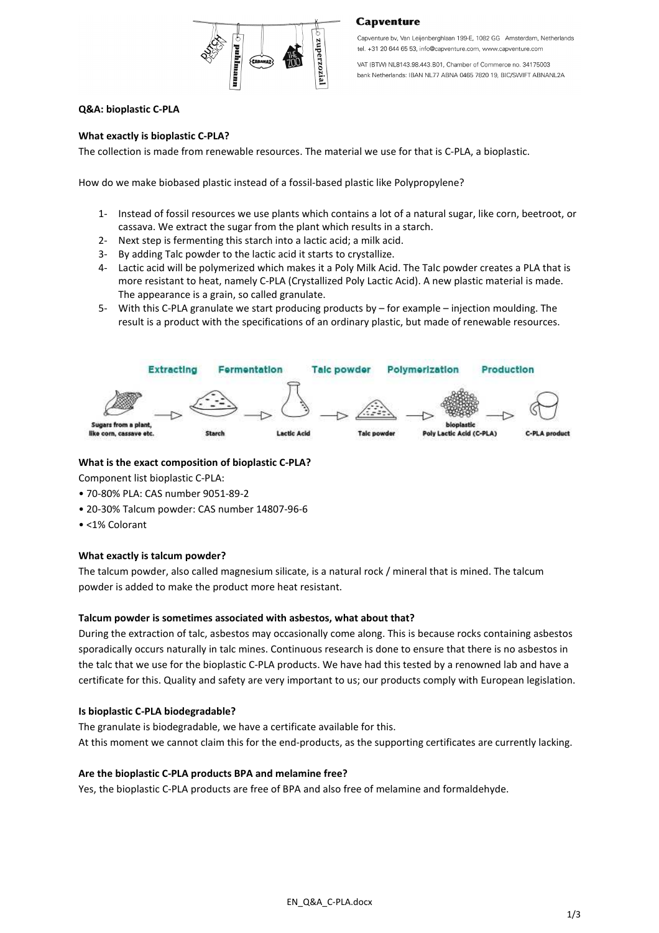

#### **Capventure**

Capventure by, Van Leijenberghlaan 199-E, 1082 GG Amsterdam, Netherlands tel. +31 20 644 65 53, info@capventure.com, www.capventure.com

VAT (BTW) NL8143.98.443.B01, Chamber of Commerce no. 34175003 bank Netherlands: IBAN NL77 ABNA 0465 7820 19, BIC/SWIFT ABNANL2A

## **Q&A: bioplastic C-PLA**

#### **What exactly is bioplastic C-PLA?**

The collection is made from renewable resources. The material we use for that is C-PLA, a bioplastic.

How do we make biobased plastic instead of a fossil-based plastic like Polypropylene?

- 1- Instead of fossil resources we use plants which contains a lot of a natural sugar, like corn, beetroot, or cassava. We extract the sugar from the plant which results in a starch.
- 2- Next step is fermenting this starch into a lactic acid; a milk acid.
- 3- By adding Talc powder to the lactic acid it starts to crystallize.
- 4- Lactic acid will be polymerized which makes it a Poly Milk Acid. The Talc powder creates a PLA that is more resistant to heat, namely C-PLA (Crystallized Poly Lactic Acid). A new plastic material is made. The appearance is a grain, so called granulate.
- 5- With this C-PLA granulate we start producing products by for example injection moulding. The result is a product with the specifications of an ordinary plastic, but made of renewable resources.



#### **What is the exact composition of bioplastic C-PLA?**

Component list bioplastic C-PLA:

- 70-80% PLA: CAS number 9051-89-2
- 20-30% Talcum powder: CAS number 14807-96-6
- <1% Colorant

#### **What exactly is talcum powder?**

The talcum powder, also called magnesium silicate, is a natural rock / mineral that is mined. The talcum powder is added to make the product more heat resistant.

#### **Talcum powder is sometimes associated with asbestos, what about that?**

During the extraction of talc, asbestos may occasionally come along. This is because rocks containing asbestos sporadically occurs naturally in talc mines. Continuous research is done to ensure that there is no asbestos in the talc that we use for the bioplastic C-PLA products. We have had this tested by a renowned lab and have a certificate for this. Quality and safety are very important to us; our products comply with European legislation.

#### **Is bioplastic C-PLA biodegradable?**

The granulate is biodegradable, we have a certificate available for this. At this moment we cannot claim this for the end-products, as the supporting certificates are currently lacking.

#### **Are the bioplastic C-PLA products BPA and melamine free?**

Yes, the bioplastic C-PLA products are free of BPA and also free of melamine and formaldehyde.

EN\_Q&A\_C-PLA.docx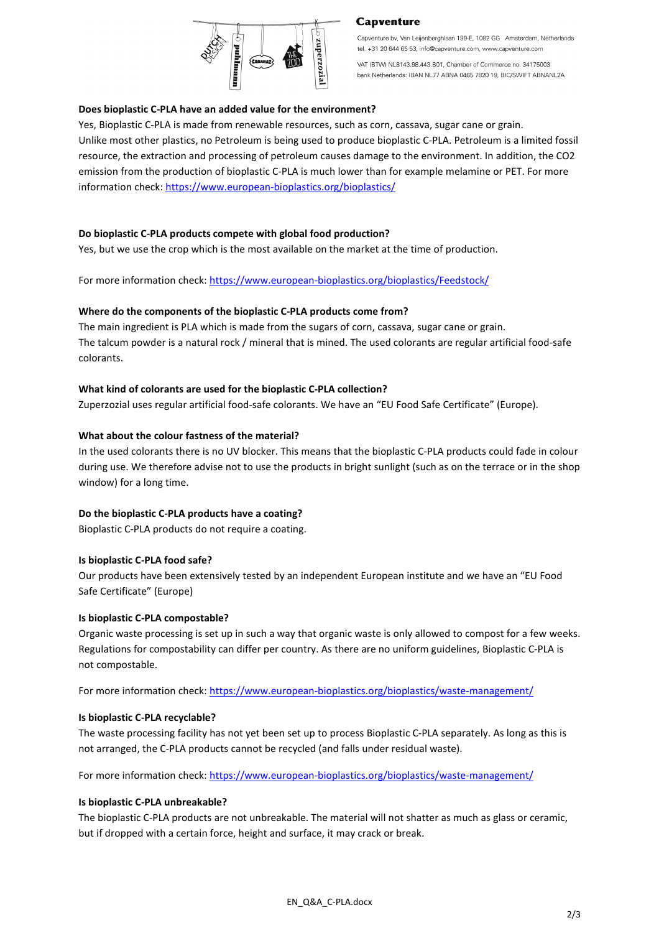

## **Capventure**

Capventure by, Van Leijenberghlaan 199-E, 1082 GG Amsterdam, Netherlands tel. +31 20 644 65 53, info@capventure.com, www.capventure.com

VAT (BTW) NL8143.98.443.B01, Chamber of Commerce no. 34175003 bank Netherlands: IBAN NL77 ABNA 0465 7820 19, BIC/SWIFT ABNANL2A

## **Does bioplastic C-PLA have an added value for the environment?**

Yes, Bioplastic C-PLA is made from renewable resources, such as corn, cassava, sugar cane or grain. Unlike most other plastics, no Petroleum is being used to produce bioplastic C-PLA. Petroleum is a limited fossil resource, the extraction and processing of petroleum causes damage to the environment. In addition, the CO2 emission from the production of bioplastic C-PLA is much lower than for example melamine or PET. For more information check: https://www.european-bioplastics.org/bioplastics/

# **Do bioplastic C-PLA products compete with global food production?**

Yes, but we use the crop which is the most available on the market at the time of production.

For more information check: https://www.european-bioplastics.org/bioplastics/Feedstock/

# **Where do the components of the bioplastic C-PLA products come from?**

The main ingredient is PLA which is made from the sugars of corn, cassava, sugar cane or grain. The talcum powder is a natural rock / mineral that is mined. The used colorants are regular artificial food-safe colorants.

# **What kind of colorants are used for the bioplastic C-PLA collection?**

Zuperzozial uses regular artificial food-safe colorants. We have an "EU Food Safe Certificate" (Europe).

# **What about the colour fastness of the material?**

In the used colorants there is no UV blocker. This means that the bioplastic C-PLA products could fade in colour during use. We therefore advise not to use the products in bright sunlight (such as on the terrace or in the shop window) for a long time.

## **Do the bioplastic C-PLA products have a coating?**

Bioplastic C-PLA products do not require a coating.

## **Is bioplastic C-PLA food safe?**

Our products have been extensively tested by an independent European institute and we have an "EU Food Safe Certificate" (Europe)

## **Is bioplastic C-PLA compostable?**

Organic waste processing is set up in such a way that organic waste is only allowed to compost for a few weeks. Regulations for compostability can differ per country. As there are no uniform guidelines, Bioplastic C-PLA is not compostable.

For more information check: https://www.european-bioplastics.org/bioplastics/waste-management/

## **Is bioplastic C-PLA recyclable?**

The waste processing facility has not yet been set up to process Bioplastic C-PLA separately. As long as this is not arranged, the C-PLA products cannot be recycled (and falls under residual waste).

For more information check: https://www.european-bioplastics.org/bioplastics/waste-management/

## **Is bioplastic C-PLA unbreakable?**

The bioplastic C-PLA products are not unbreakable. The material will not shatter as much as glass or ceramic, but if dropped with a certain force, height and surface, it may crack or break.